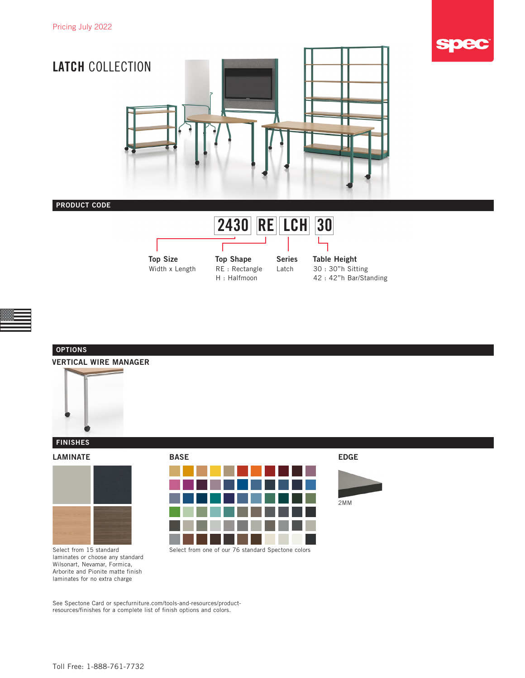





# VERTICAL WIRE MANAGER **OPTIONS**



### **FINISHES**

LAMINATE BASE



EDGE

2MM

Select from 15 standard laminates or choose any standard Wilsonart, Nevamar, Formica, Arborite and Pionite matte finish laminates for no extra charge

See Spectone Card or [specfurniture.com/tools-and-resources/product](http://specfurniture.com/tools-and-resources/product-resources/finishes)[resources/finishes](http://specfurniture.com/tools-and-resources/product-resources/finishes) for a complete list of finish options and colors.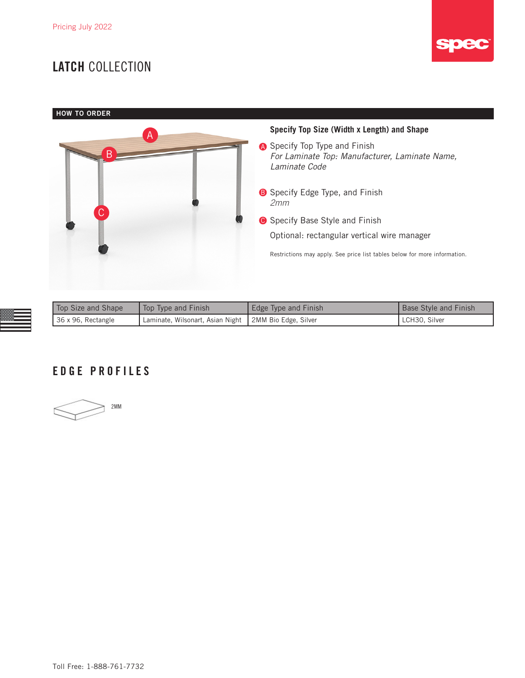## LATCH COLLECTION



**HOW TO ORDER** 



| Top Size and Shape | Top Type and Finish                                     | Edge Type and Finish | <b>Base Style and Finish</b> |
|--------------------|---------------------------------------------------------|----------------------|------------------------------|
| 36 x 96, Rectangle | Laminate, Wilsonart, Asian Night   2MM Bio Edge, Silver |                      | LCH30. Silver                |

### EDGE PROFILES

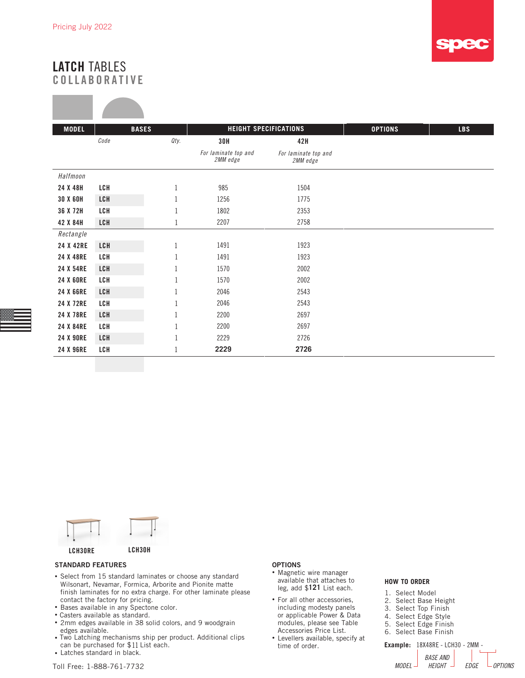**STATISTICS** 



### LATCH TABLES COLLABORATIVE

| <b>MODEL</b>     |            | <b>BASES</b> | <b>HEIGHT SPECIFICATIONS</b>     |                                  | <b>OPTIONS</b> | <b>LBS</b> |
|------------------|------------|--------------|----------------------------------|----------------------------------|----------------|------------|
|                  | Code       | Qty.         | 30H                              | 42H                              |                |            |
|                  |            |              | For laminate top and<br>2MM edge | For laminate top and<br>2MM edge |                |            |
| Halfmoon         |            |              |                                  |                                  |                |            |
| 24 X 48H         | LCH        | 1            | 985                              | 1504                             |                |            |
| 30 X 60H         | LCH        | 1            | 1256                             | 1775                             |                |            |
| 36 X 72H         | LCH        |              | 1802                             | 2353                             |                |            |
| 42 X 84H         | LCH        |              | 2207                             | 2758                             |                |            |
| Rectangle        |            |              |                                  |                                  |                |            |
| 24 X 42RE        | <b>LCH</b> | 1            | 1491                             | 1923                             |                |            |
| 24 X 48RE        | LCH        |              | 1491                             | 1923                             |                |            |
| 24 X 54RE        | LCH        |              | 1570                             | 2002                             |                |            |
| <b>24 X 60RE</b> | LCH        | 1            | 1570                             | 2002                             |                |            |
| 24 X 66RE        | LCH        |              | 2046                             | 2543                             |                |            |
| 24 X 72RE        | LCH        |              | 2046                             | 2543                             |                |            |
| 24 X 78RE        | LCH        |              | 2200                             | 2697                             |                |            |
| 24 X 84RE        | LCH        |              | 2200                             | 2697                             |                |            |
| <b>24 X 90RE</b> | LCH        |              | 2229                             | 2726                             |                |            |
| 24 X 96RE        | LCH        |              | 2229                             | 2726                             |                |            |



#### STANDARD FEATURES

- Select from 15 standard laminates or choose any standard Wilsonart, Nevamar, Formica, Arborite and Pionite matte finish laminates for no extra charge. For other laminate please contact the factory for pricing.
- Bases available in any Spectone color.
- Casters available as standard.
- 2mm edges available in 38 solid colors, and 9 woodgrain edges available.
- Two Latching mechanisms ship per product. Additional clips can be purchased for \$11 List each.
- Latches standard in black.

#### **OPTIONS**

- Magnetic wire manager available that attaches to leg, add \$121 List each.
- For all other accessories, including modesty panels or applicable Power & Data modules, please see Table Accessories Price List.
- Levellers available, specify at time of order.

#### **HOW TO ORDER**

| 1. Select Model<br>2. Select Base Height<br>3. Select Top Finish<br>4. Select Edge Style<br>5. Select Edge Finish<br>6. Select Base Finish |
|--------------------------------------------------------------------------------------------------------------------------------------------|
| <b>Example:</b> 18X48RE - LCH30 - 2MM -<br><b>BASE AND</b><br><b>HFIGHT</b>                                                                |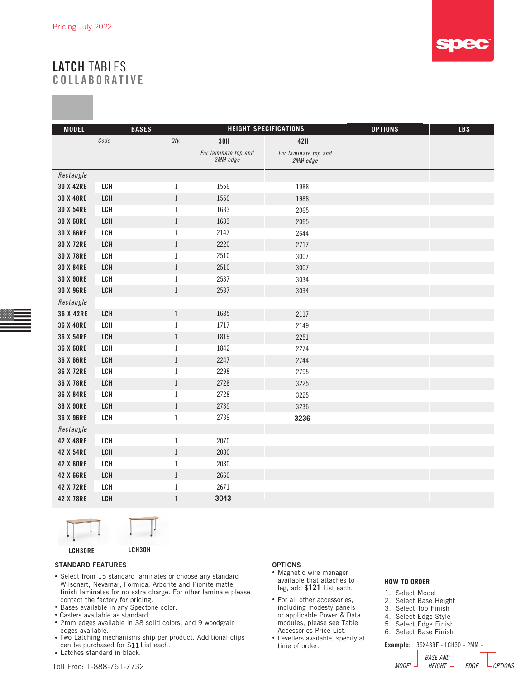

### LATCH TABLES COLLABORATIVE

| <b>MODEL</b>     | <b>BASES</b> |              | <b>HEIGHT SPECIFICATIONS</b>     |                                  | <b>OPTIONS</b> | <b>LBS</b> |
|------------------|--------------|--------------|----------------------------------|----------------------------------|----------------|------------|
|                  | Code         | Qty.         | <b>30H</b>                       | 42H                              |                |            |
|                  |              |              | For laminate top and<br>2MM edge | For laminate top and<br>2MM edge |                |            |
| Rectangle        |              |              |                                  |                                  |                |            |
| <b>30 X 42RE</b> | LCH          | $\mathbf{1}$ | 1556                             | 1988                             |                |            |
| <b>30 X 48RE</b> | LCH          | $\mathbf{1}$ | 1556                             | 1988                             |                |            |
| <b>30 X 54RE</b> | LCH          | $\mathbf{1}$ | 1633                             | 2065                             |                |            |
| <b>30 X 60RE</b> | LCH          | $\mathbf{1}$ | 1633                             | 2065                             |                |            |
| <b>30 X 66RE</b> | LCH          | $\mathbf{1}$ | 2147                             | 2644                             |                |            |
| <b>30 X 72RE</b> | LCH          | $\mathbf{1}$ | 2220                             | 2717                             |                |            |
| <b>30 X 78RE</b> | LCH          | $\mathbf{1}$ | 2510                             | 3007                             |                |            |
| <b>30 X 84RE</b> | LCH          | $\mathbf{1}$ | 2510                             | 3007                             |                |            |
| <b>30 X 90RE</b> | LCH          | $\mathbf{1}$ | 2537                             | 3034                             |                |            |
| <b>30 X 96RE</b> | LCH          | $\mathbf{1}$ | 2537                             | 3034                             |                |            |
| Rectangle        |              |              |                                  |                                  |                |            |
| 36 X 42RE        | LCH          | $\mathbf{1}$ | 1685                             | 2117                             |                |            |
| 36 X 48RE        | LCH          | 1            | 1717                             | 2149                             |                |            |
| 36 X 54RE        | LCH          | $\mathbf{1}$ | 1819                             | 2251                             |                |            |
| <b>36 X 60RE</b> | LCH          | $\mathbf{1}$ | 1842                             | 2274                             |                |            |
| <b>36 X 66RE</b> | LCH          | $\mathbf{1}$ | 2247                             | 2744                             |                |            |
| 36 X 72RE        | LCH          | 1            | 2298                             | 2795                             |                |            |
| 36 X 78RE        | LCH          | $\mathbf{1}$ | 2728                             | 3225                             |                |            |
| 36 X 84RE        | LCH          | $\mathbf{1}$ | 2728                             | 3225                             |                |            |
| <b>36 X 90RE</b> | LCH          | $1\,$        | 2739                             | 3236                             |                |            |
| <b>36 X 96RE</b> | LCH          | $\mathbf{1}$ | 2739                             | 3236                             |                |            |
| Rectangle        |              |              |                                  |                                  |                |            |
| 42 X 48RE        | LCH          | $\mathbf{1}$ | 2070                             |                                  |                |            |
| 42 X 54RE        | LCH          | $\mathbf{1}$ | 2080                             |                                  |                |            |
| <b>42 X 60RE</b> | LCH          | $\mathbf{1}$ | 2080                             |                                  |                |            |
| 42 X 66RE        | LCH          | $\mathbf{1}$ | 2660                             |                                  |                |            |
| 42 X 72RE        | LCH          | $\,1$        | 2671                             |                                  |                |            |
| 42 X 78RE        | LCH          | $\mathbf{1}$ | 3043                             |                                  |                |            |



#### STANDARD FEATURES

- Select from 15 standard laminates or choose any standard Wilsonart, Nevamar, Formica, Arborite and Pionite matte finish laminates for no extra charge. For other laminate please contact the factory for pricing.
- Bases available in any Spectone color.
- Casters available as standard.
- 2mm edges available in 38 solid colors, and 9 woodgrain edges available.
- Two Latching mechanisms ship per product. Additional clips can be purchased for \$11 List each.
- Toll Free: 1-888-761-7732 • Latches standard in black.

#### OPTIONS

- Magnetic wire manager available that attaches to leg, add \$121 List each.
- For all other accessories, including modesty panels or applicable Power & Data modules, please see Table Accessories Price List.
- Levellers available, specify at time of order.

#### **HOW TO ORDER**

*MODEL EDGE OPTIONS HEIGHT* **Example:** 36X48RE - LCH30 - 2MM - *BASE AND*  1. Select Model 2. Select Base Height 3. Select Top Finish 4. Select Edge Style 5. Select Edge Finish 6. Select Base Finish